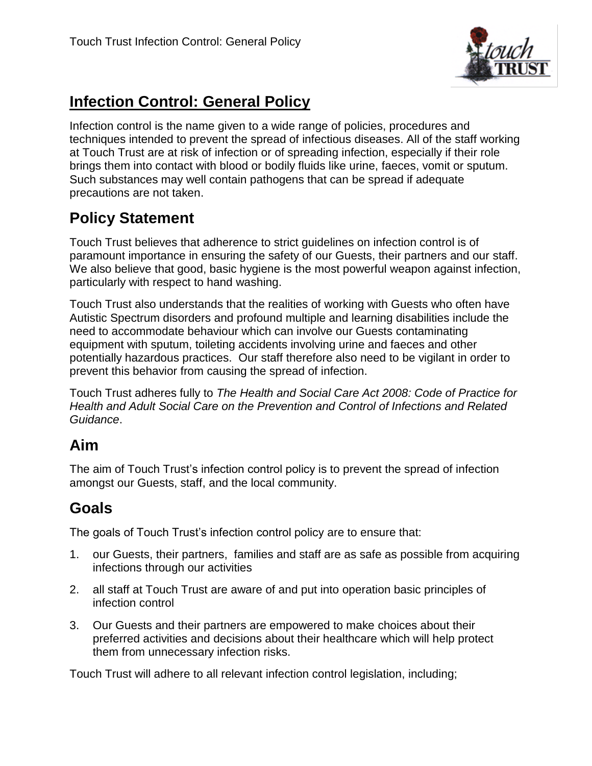

# **Infection Control: General Policy**

Infection control is the name given to a wide range of policies, procedures and techniques intended to prevent the spread of infectious diseases. All of the staff working at Touch Trust are at risk of infection or of spreading infection, especially if their role brings them into contact with blood or bodily fluids like urine, faeces, vomit or sputum. Such substances may well contain pathogens that can be spread if adequate precautions are not taken.

# **Policy Statement**

Touch Trust believes that adherence to strict guidelines on infection control is of paramount importance in ensuring the safety of our Guests, their partners and our staff. We also believe that good, basic hygiene is the most powerful weapon against infection, particularly with respect to hand washing.

Touch Trust also understands that the realities of working with Guests who often have Autistic Spectrum disorders and profound multiple and learning disabilities include the need to accommodate behaviour which can involve our Guests contaminating equipment with sputum, toileting accidents involving urine and faeces and other potentially hazardous practices. Our staff therefore also need to be vigilant in order to prevent this behavior from causing the spread of infection.

Touch Trust adheres fully to *The Health and Social Care Act 2008: Code of Practice for Health and Adult Social Care on the Prevention and Control of Infections and Related Guidance*.

### **Aim**

The aim of Touch Trust's infection control policy is to prevent the spread of infection amongst our Guests, staff, and the local community.

# **Goals**

The goals of Touch Trust's infection control policy are to ensure that:

- 1. our Guests, their partners, families and staff are as safe as possible from acquiring infections through our activities
- 2. all staff at Touch Trust are aware of and put into operation basic principles of infection control
- 3. Our Guests and their partners are empowered to make choices about their preferred activities and decisions about their healthcare which will help protect them from unnecessary infection risks.

Touch Trust will adhere to all relevant infection control legislation, including;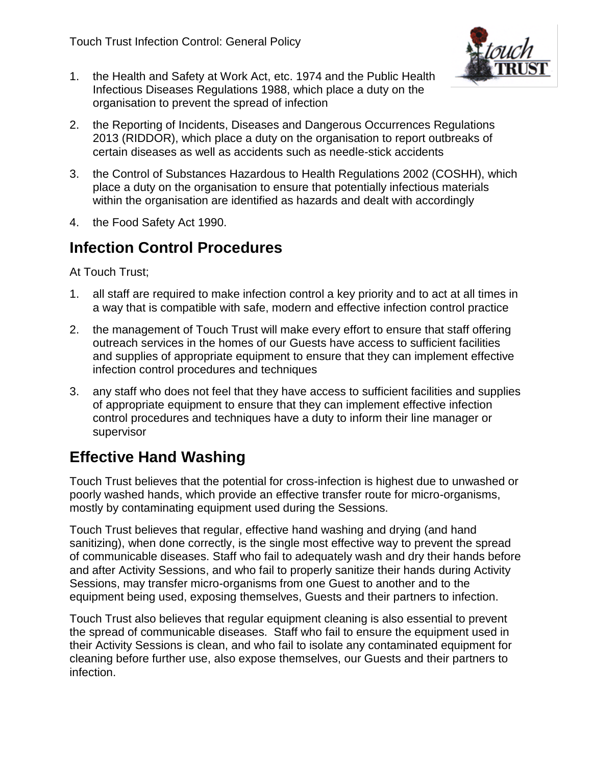

- 1. the Health and Safety at Work Act, etc. 1974 and the Public Health Infectious Diseases Regulations 1988, which place a duty on the organisation to prevent the spread of infection
- 2. the Reporting of Incidents, Diseases and Dangerous Occurrences Regulations 2013 (RIDDOR), which place a duty on the organisation to report outbreaks of certain diseases as well as accidents such as needle-stick accidents
- 3. the Control of Substances Hazardous to Health Regulations 2002 (COSHH), which place a duty on the organisation to ensure that potentially infectious materials within the organisation are identified as hazards and dealt with accordingly
- 4. the Food Safety Act 1990.

### **Infection Control Procedures**

At Touch Trust;

- 1. all staff are required to make infection control a key priority and to act at all times in a way that is compatible with safe, modern and effective infection control practice
- 2. the management of Touch Trust will make every effort to ensure that staff offering outreach services in the homes of our Guests have access to sufficient facilities and supplies of appropriate equipment to ensure that they can implement effective infection control procedures and techniques
- 3. any staff who does not feel that they have access to sufficient facilities and supplies of appropriate equipment to ensure that they can implement effective infection control procedures and techniques have a duty to inform their line manager or supervisor

## **Effective Hand Washing**

Touch Trust believes that the potential for cross-infection is highest due to unwashed or poorly washed hands, which provide an effective transfer route for micro-organisms, mostly by contaminating equipment used during the Sessions.

Touch Trust believes that regular, effective hand washing and drying (and hand sanitizing), when done correctly, is the single most effective way to prevent the spread of communicable diseases. Staff who fail to adequately wash and dry their hands before and after Activity Sessions, and who fail to properly sanitize their hands during Activity Sessions, may transfer micro-organisms from one Guest to another and to the equipment being used, exposing themselves, Guests and their partners to infection.

Touch Trust also believes that regular equipment cleaning is also essential to prevent the spread of communicable diseases. Staff who fail to ensure the equipment used in their Activity Sessions is clean, and who fail to isolate any contaminated equipment for cleaning before further use, also expose themselves, our Guests and their partners to infection.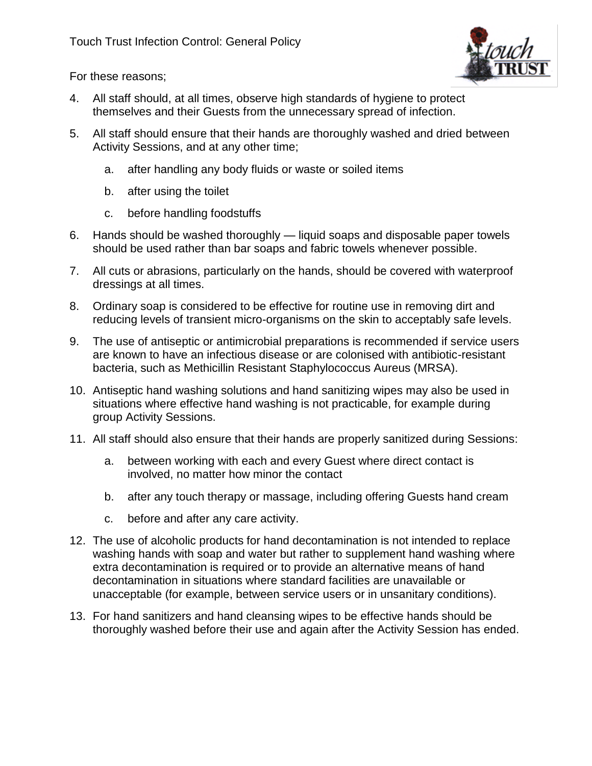

For these reasons;

- 4. All staff should, at all times, observe high standards of hygiene to protect themselves and their Guests from the unnecessary spread of infection.
- 5. All staff should ensure that their hands are thoroughly washed and dried between Activity Sessions, and at any other time;
	- a. after handling any body fluids or waste or soiled items
	- b. after using the toilet
	- c. before handling foodstuffs
- 6. Hands should be washed thoroughly liquid soaps and disposable paper towels should be used rather than bar soaps and fabric towels whenever possible.
- 7. All cuts or abrasions, particularly on the hands, should be covered with waterproof dressings at all times.
- 8. Ordinary soap is considered to be effective for routine use in removing dirt and reducing levels of transient micro-organisms on the skin to acceptably safe levels.
- 9. The use of antiseptic or antimicrobial preparations is recommended if service users are known to have an infectious disease or are colonised with antibiotic-resistant bacteria, such as Methicillin Resistant Staphylococcus Aureus (MRSA).
- 10. Antiseptic hand washing solutions and hand sanitizing wipes may also be used in situations where effective hand washing is not practicable, for example during group Activity Sessions.
- 11. All staff should also ensure that their hands are properly sanitized during Sessions:
	- a. between working with each and every Guest where direct contact is involved, no matter how minor the contact
	- b. after any touch therapy or massage, including offering Guests hand cream
	- c. before and after any care activity.
- 12. The use of alcoholic products for hand decontamination is not intended to replace washing hands with soap and water but rather to supplement hand washing where extra decontamination is required or to provide an alternative means of hand decontamination in situations where standard facilities are unavailable or unacceptable (for example, between service users or in unsanitary conditions).
- 13. For hand sanitizers and hand cleansing wipes to be effective hands should be thoroughly washed before their use and again after the Activity Session has ended.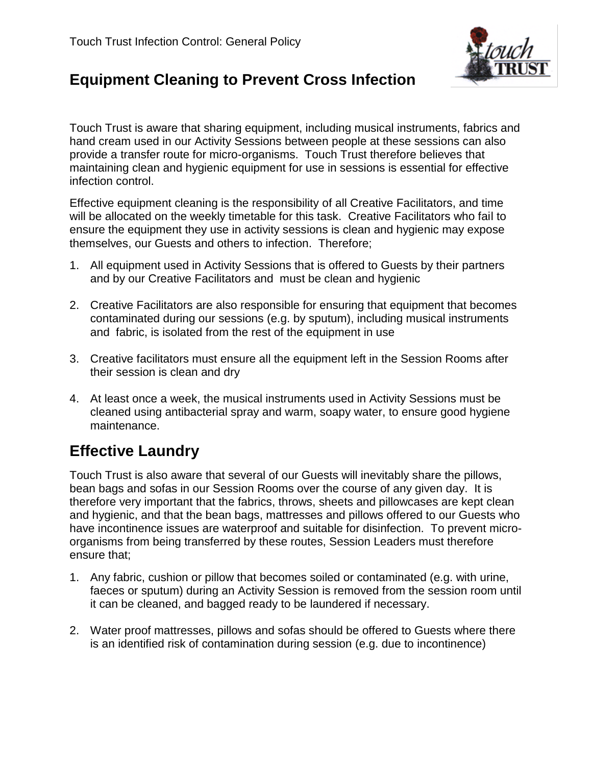

# **Equipment Cleaning to Prevent Cross Infection**

Touch Trust is aware that sharing equipment, including musical instruments, fabrics and hand cream used in our Activity Sessions between people at these sessions can also provide a transfer route for micro-organisms. Touch Trust therefore believes that maintaining clean and hygienic equipment for use in sessions is essential for effective infection control.

Effective equipment cleaning is the responsibility of all Creative Facilitators, and time will be allocated on the weekly timetable for this task. Creative Facilitators who fail to ensure the equipment they use in activity sessions is clean and hygienic may expose themselves, our Guests and others to infection. Therefore;

- 1. All equipment used in Activity Sessions that is offered to Guests by their partners and by our Creative Facilitators and must be clean and hygienic
- 2. Creative Facilitators are also responsible for ensuring that equipment that becomes contaminated during our sessions (e.g. by sputum), including musical instruments and fabric, is isolated from the rest of the equipment in use
- 3. Creative facilitators must ensure all the equipment left in the Session Rooms after their session is clean and dry
- 4. At least once a week, the musical instruments used in Activity Sessions must be cleaned using antibacterial spray and warm, soapy water, to ensure good hygiene maintenance.

# **Effective Laundry**

Touch Trust is also aware that several of our Guests will inevitably share the pillows, bean bags and sofas in our Session Rooms over the course of any given day. It is therefore very important that the fabrics, throws, sheets and pillowcases are kept clean and hygienic, and that the bean bags, mattresses and pillows offered to our Guests who have incontinence issues are waterproof and suitable for disinfection. To prevent microorganisms from being transferred by these routes, Session Leaders must therefore ensure that;

- 1. Any fabric, cushion or pillow that becomes soiled or contaminated (e.g. with urine, faeces or sputum) during an Activity Session is removed from the session room until it can be cleaned, and bagged ready to be laundered if necessary.
- 2. Water proof mattresses, pillows and sofas should be offered to Guests where there is an identified risk of contamination during session (e.g. due to incontinence)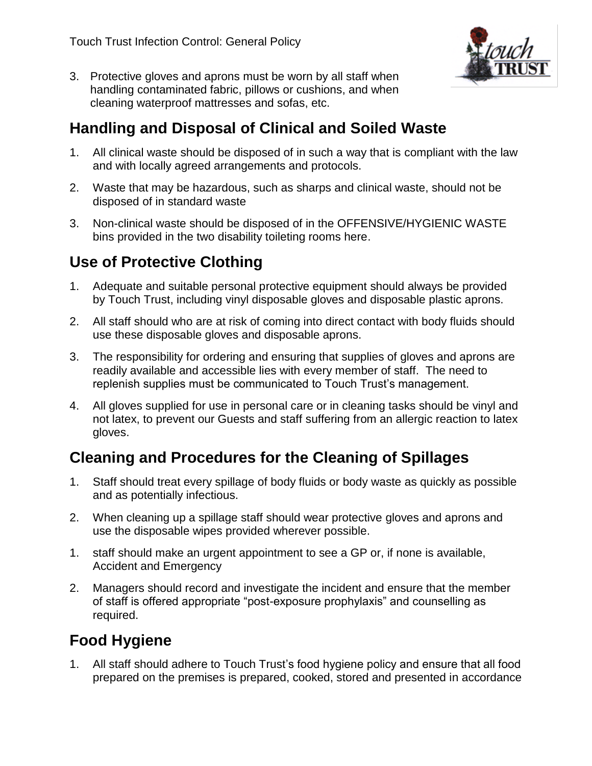

3. Protective gloves and aprons must be worn by all staff when handling contaminated fabric, pillows or cushions, and when cleaning waterproof mattresses and sofas, etc.

## **Handling and Disposal of Clinical and Soiled Waste**

- 1. All clinical waste should be disposed of in such a way that is compliant with the law and with locally agreed arrangements and protocols.
- 2. Waste that may be hazardous, such as sharps and clinical waste, should not be disposed of in standard waste
- 3. Non-clinical waste should be disposed of in the OFFENSIVE/HYGIENIC WASTE bins provided in the two disability toileting rooms here.

## **Use of Protective Clothing**

- 1. Adequate and suitable personal protective equipment should always be provided by Touch Trust, including vinyl disposable gloves and disposable plastic aprons.
- 2. All staff should who are at risk of coming into direct contact with body fluids should use these disposable gloves and disposable aprons.
- 3. The responsibility for ordering and ensuring that supplies of gloves and aprons are readily available and accessible lies with every member of staff. The need to replenish supplies must be communicated to Touch Trust's management.
- 4. All gloves supplied for use in personal care or in cleaning tasks should be vinyl and not latex, to prevent our Guests and staff suffering from an allergic reaction to latex gloves.

# **Cleaning and Procedures for the Cleaning of Spillages**

- 1. Staff should treat every spillage of body fluids or body waste as quickly as possible and as potentially infectious.
- 2. When cleaning up a spillage staff should wear protective gloves and aprons and use the disposable wipes provided wherever possible.
- 1. staff should make an urgent appointment to see a GP or, if none is available, Accident and Emergency
- 2. Managers should record and investigate the incident and ensure that the member of staff is offered appropriate "post-exposure prophylaxis" and counselling as required.

# **Food Hygiene**

1. All staff should adhere to Touch Trust's food hygiene policy and ensure that all food prepared on the premises is prepared, cooked, stored and presented in accordance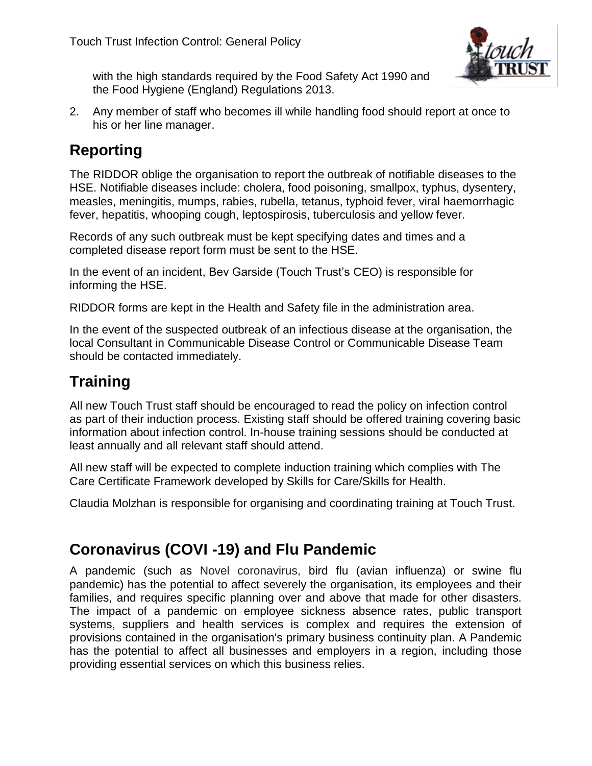

with the high standards required by the Food Safety Act 1990 and the Food Hygiene (England) Regulations 2013.

2. Any member of staff who becomes ill while handling food should report at once to his or her line manager.

## **Reporting**

The RIDDOR oblige the organisation to report the outbreak of notifiable diseases to the HSE. Notifiable diseases include: cholera, food poisoning, smallpox, typhus, dysentery, measles, meningitis, mumps, rabies, rubella, tetanus, typhoid fever, viral haemorrhagic fever, hepatitis, whooping cough, leptospirosis, tuberculosis and yellow fever.

Records of any such outbreak must be kept specifying dates and times and a completed disease report form must be sent to the HSE.

In the event of an incident, Bev Garside (Touch Trust's CEO) is responsible for informing the HSE.

RIDDOR forms are kept in the Health and Safety file in the administration area.

In the event of the suspected outbreak of an infectious disease at the organisation, the local Consultant in Communicable Disease Control or Communicable Disease Team should be contacted immediately.

# **Training**

All new Touch Trust staff should be encouraged to read the policy on infection control as part of their induction process. Existing staff should be offered training covering basic information about infection control. In-house training sessions should be conducted at least annually and all relevant staff should attend.

All new staff will be expected to complete induction training which complies with The Care Certificate Framework developed by Skills for Care/Skills for Health.

Claudia Molzhan is responsible for organising and coordinating training at Touch Trust.

## **Coronavirus (COVI -19) and Flu Pandemic**

A pandemic (such as Novel coronavirus, bird flu (avian influenza) or swine flu pandemic) has the potential to affect severely the organisation, its employees and their families, and requires specific planning over and above that made for other disasters. The impact of a pandemic on employee sickness absence rates, public transport systems, suppliers and health services is complex and requires the extension of provisions contained in the organisation's primary business continuity plan. A Pandemic has the potential to affect all businesses and employers in a region, including those providing essential services on which this business relies.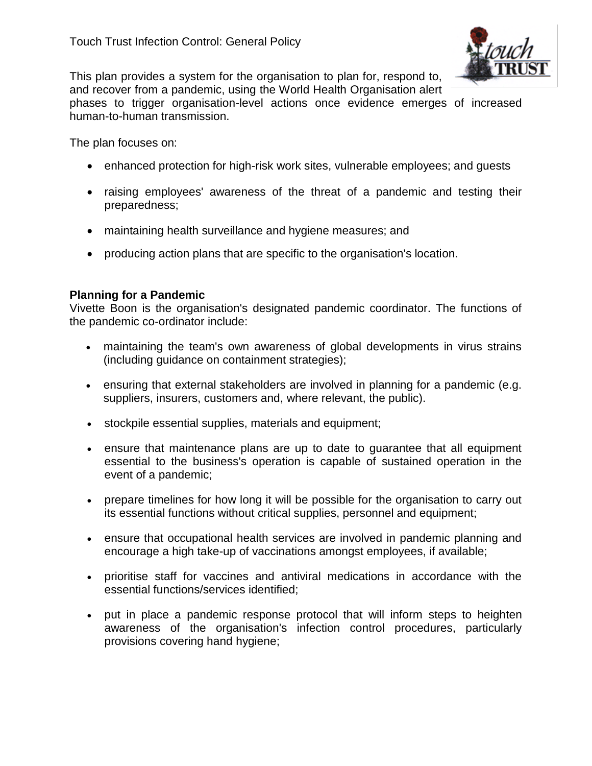

This plan provides a system for the organisation to plan for, respond to, and recover from a pandemic, using the World Health Organisation alert

phases to trigger organisation-level actions once evidence emerges of increased human-to-human transmission.

The plan focuses on:

- enhanced protection for high-risk work sites, vulnerable employees; and guests
- raising employees' awareness of the threat of a pandemic and testing their preparedness;
- maintaining health surveillance and hygiene measures; and
- producing action plans that are specific to the organisation's location.

#### **Planning for a Pandemic**

Vivette Boon is the organisation's designated pandemic coordinator. The functions of the pandemic co-ordinator include:

- maintaining the team's own awareness of global developments in virus strains (including guidance on containment strategies);
- ensuring that external stakeholders are involved in planning for a pandemic (e.g. suppliers, insurers, customers and, where relevant, the public).
- stockpile essential supplies, materials and equipment;
- ensure that maintenance plans are up to date to guarantee that all equipment essential to the business's operation is capable of sustained operation in the event of a pandemic;
- prepare timelines for how long it will be possible for the organisation to carry out its essential functions without critical supplies, personnel and equipment;
- ensure that occupational health services are involved in pandemic planning and encourage a high take-up of vaccinations amongst employees, if available;
- prioritise staff for vaccines and antiviral medications in accordance with the essential functions/services identified;
- put in place a pandemic response protocol that will inform steps to heighten awareness of the organisation's infection control procedures, particularly provisions covering hand hygiene;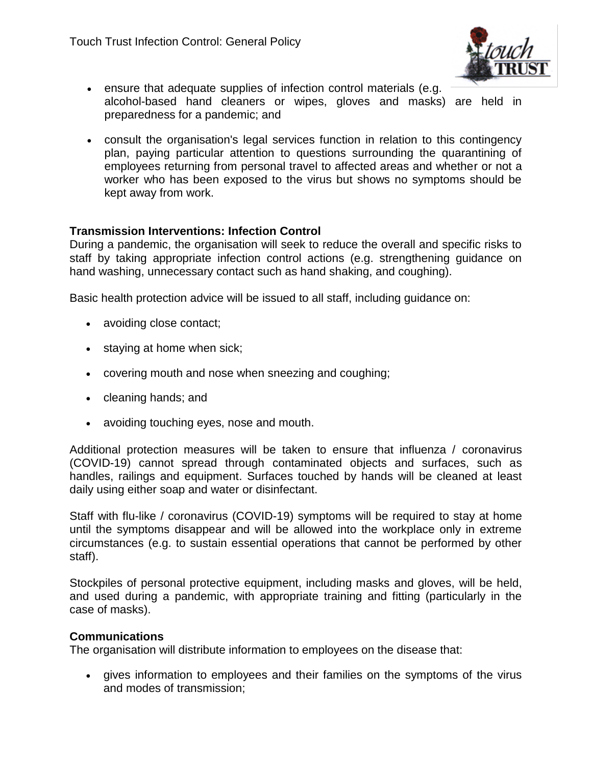

- ensure that adequate supplies of infection control materials (e.g. alcohol-based hand cleaners or wipes, gloves and masks) are held in preparedness for a pandemic; and
- consult the organisation's legal services function in relation to this contingency plan, paying particular attention to questions surrounding the quarantining of employees returning from personal travel to affected areas and whether or not a worker who has been exposed to the virus but shows no symptoms should be kept away from work.

#### **Transmission Interventions: Infection Control**

During a pandemic, the organisation will seek to reduce the overall and specific risks to staff by taking appropriate infection control actions (e.g. strengthening guidance on hand washing, unnecessary contact such as hand shaking, and coughing).

Basic health protection advice will be issued to all staff, including guidance on:

- avoiding close contact;
- staying at home when sick;
- covering mouth and nose when sneezing and coughing;
- cleaning hands; and
- avoiding touching eyes, nose and mouth.

Additional protection measures will be taken to ensure that influenza / coronavirus (COVID-19) cannot spread through contaminated objects and surfaces, such as handles, railings and equipment. Surfaces touched by hands will be cleaned at least daily using either soap and water or disinfectant.

Staff with flu-like / coronavirus (COVID-19) symptoms will be required to stay at home until the symptoms disappear and will be allowed into the workplace only in extreme circumstances (e.g. to sustain essential operations that cannot be performed by other staff).

Stockpiles of personal protective equipment, including masks and gloves, will be held, and used during a pandemic, with appropriate training and fitting (particularly in the case of masks).

#### **Communications**

The organisation will distribute information to employees on the disease that:

 gives information to employees and their families on the symptoms of the virus and modes of transmission;